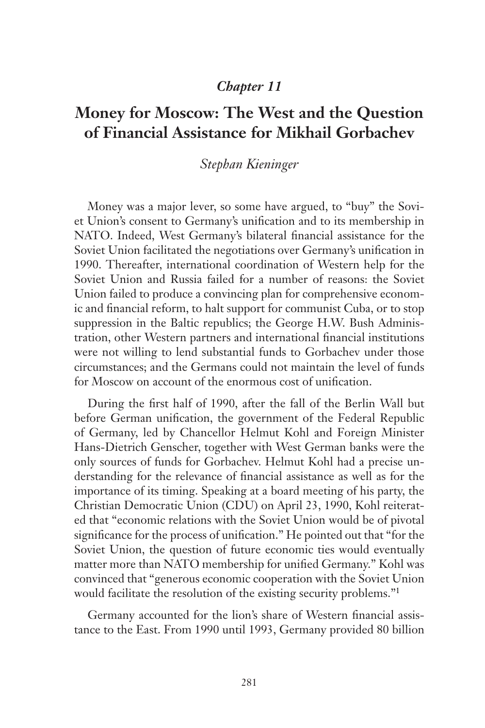## *Chapter 11*

## **Money for Moscow: The West and the Question of Financial Assistance for Mikhail Gorbachev**

## *Stephan Kieninger*

Money was a major lever, so some have argued, to "buy" the Soviet Union's consent to Germany's unification and to its membership in NATO. Indeed, West Germany's bilateral financial assistance for the Soviet Union facilitated the negotiations over Germany's unification in 1990. Thereafter, international coordination of Western help for the Soviet Union and Russia failed for a number of reasons: the Soviet Union failed to produce a convincing plan for comprehensive economic and financial reform, to halt support for communist Cuba, or to stop suppression in the Baltic republics; the George H.W. Bush Administration, other Western partners and international financial institutions were not willing to lend substantial funds to Gorbachev under those circumstances; and the Germans could not maintain the level of funds for Moscow on account of the enormous cost of unification.

During the first half of 1990, after the fall of the Berlin Wall but before German unification, the government of the Federal Republic of Germany, led by Chancellor Helmut Kohl and Foreign Minister Hans-Dietrich Genscher, together with West German banks were the only sources of funds for Gorbachev. Helmut Kohl had a precise understanding for the relevance of financial assistance as well as for the importance of its timing. Speaking at a board meeting of his party, the Christian Democratic Union (CDU) on April 23, 1990, Kohl reiterated that "economic relations with the Soviet Union would be of pivotal significance for the process of unification." He pointed out that "for the Soviet Union, the question of future economic ties would eventually matter more than NATO membership for unified Germany." Kohl was convinced that "generous economic cooperation with the Soviet Union would facilitate the resolution of the existing security problems."<sup>1</sup>

Germany accounted for the lion's share of Western financial assistance to the East. From 1990 until 1993, Germany provided 80 billion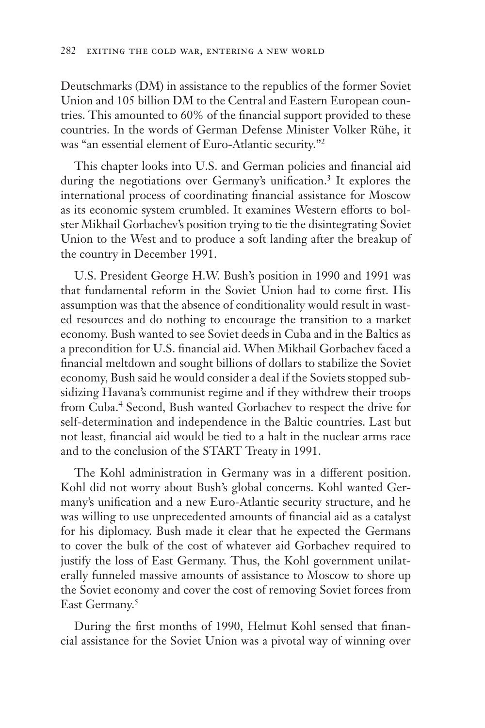Deutschmarks (DM) in assistance to the republics of the former Soviet Union and 105 billion DM to the Central and Eastern European countries. This amounted to 60% of the financial support provided to these countries. In the words of German Defense Minister Volker Rühe, it was "an essential element of Euro-Atlantic security."2

This chapter looks into U.S. and German policies and financial aid during the negotiations over Germany's unification.<sup>3</sup> It explores the international process of coordinating financial assistance for Moscow as its economic system crumbled. It examines Western efforts to bolster Mikhail Gorbachev's position trying to tie the disintegrating Soviet Union to the West and to produce a soft landing after the breakup of the country in December 1991.

U.S. President George H.W. Bush's position in 1990 and 1991 was that fundamental reform in the Soviet Union had to come first. His assumption was that the absence of conditionality would result in wasted resources and do nothing to encourage the transition to a market economy. Bush wanted to see Soviet deeds in Cuba and in the Baltics as a precondition for U.S. financial aid. When Mikhail Gorbachev faced a financial meltdown and sought billions of dollars to stabilize the Soviet economy, Bush said he would consider a deal if the Soviets stopped subsidizing Havana's communist regime and if they withdrew their troops from Cuba.<sup>4</sup> Second, Bush wanted Gorbachev to respect the drive for self-determination and independence in the Baltic countries. Last but not least, financial aid would be tied to a halt in the nuclear arms race and to the conclusion of the START Treaty in 1991.

The Kohl administration in Germany was in a different position. Kohl did not worry about Bush's global concerns. Kohl wanted Germany's unification and a new Euro-Atlantic security structure, and he was willing to use unprecedented amounts of financial aid as a catalyst for his diplomacy. Bush made it clear that he expected the Germans to cover the bulk of the cost of whatever aid Gorbachev required to justify the loss of East Germany. Thus, the Kohl government unilaterally funneled massive amounts of assistance to Moscow to shore up the Soviet economy and cover the cost of removing Soviet forces from East Germany.<sup>5</sup>

During the first months of 1990, Helmut Kohl sensed that financial assistance for the Soviet Union was a pivotal way of winning over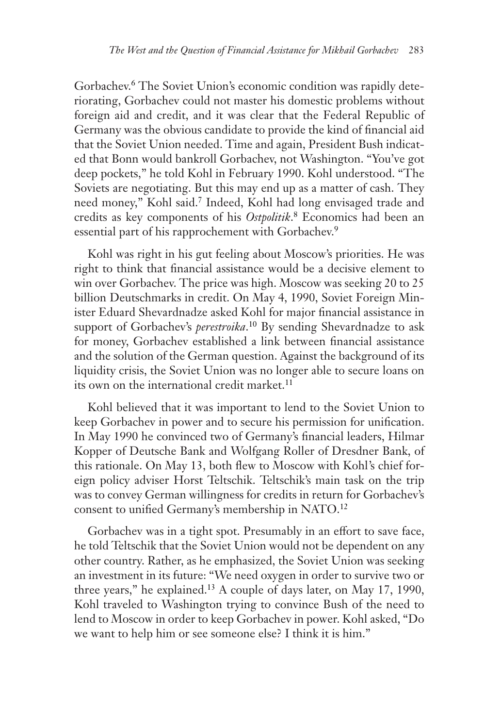Gorbachev.<sup>6</sup> The Soviet Union's economic condition was rapidly deteriorating, Gorbachev could not master his domestic problems without foreign aid and credit, and it was clear that the Federal Republic of Germany was the obvious candidate to provide the kind of financial aid that the Soviet Union needed. Time and again, President Bush indicated that Bonn would bankroll Gorbachev, not Washington. "You've got deep pockets," he told Kohl in February 1990. Kohl understood. "The Soviets are negotiating. But this may end up as a matter of cash. They need money," Kohl said.7 Indeed, Kohl had long envisaged trade and credits as key components of his *Ostpolitik*. 8 Economics had been an essential part of his rapprochement with Gorbachev.<sup>9</sup>

Kohl was right in his gut feeling about Moscow's priorities. He was right to think that financial assistance would be a decisive element to win over Gorbachev. The price was high. Moscow was seeking 20 to 25 billion Deutschmarks in credit. On May 4, 1990, Soviet Foreign Minister Eduard Shevardnadze asked Kohl for major financial assistance in support of Gorbachev's *perestroika*. 10 By sending Shevardnadze to ask for money, Gorbachev established a link between financial assistance and the solution of the German question. Against the background of its liquidity crisis, the Soviet Union was no longer able to secure loans on its own on the international credit market. $11$ 

Kohl believed that it was important to lend to the Soviet Union to keep Gorbachev in power and to secure his permission for unification. In May 1990 he convinced two of Germany's financial leaders, Hilmar Kopper of Deutsche Bank and Wolfgang Roller of Dresdner Bank, of this rationale. On May 13, both flew to Moscow with Kohl's chief foreign policy adviser Horst Teltschik. Teltschik's main task on the trip was to convey German willingness for credits in return for Gorbachev's consent to unified Germany's membership in NATO.12

Gorbachev was in a tight spot. Presumably in an effort to save face, he told Teltschik that the Soviet Union would not be dependent on any other country. Rather, as he emphasized, the Soviet Union was seeking an investment in its future: "We need oxygen in order to survive two or three years," he explained.13 A couple of days later, on May 17, 1990, Kohl traveled to Washington trying to convince Bush of the need to lend to Moscow in order to keep Gorbachev in power. Kohl asked, "Do we want to help him or see someone else? I think it is him."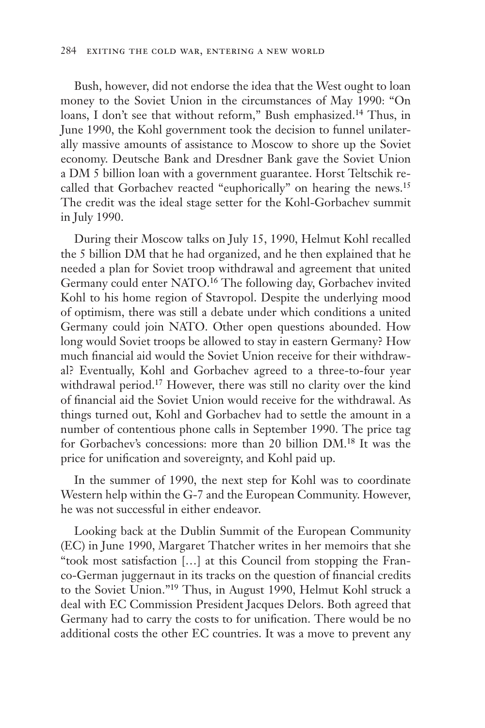Bush, however, did not endorse the idea that the West ought to loan money to the Soviet Union in the circumstances of May 1990: "On loans, I don't see that without reform," Bush emphasized.14 Thus, in June 1990, the Kohl government took the decision to funnel unilaterally massive amounts of assistance to Moscow to shore up the Soviet economy. Deutsche Bank and Dresdner Bank gave the Soviet Union a DM 5 billion loan with a government guarantee. Horst Teltschik recalled that Gorbachev reacted "euphorically" on hearing the news.15 The credit was the ideal stage setter for the Kohl-Gorbachev summit in July 1990.

During their Moscow talks on July 15, 1990, Helmut Kohl recalled the 5 billion DM that he had organized, and he then explained that he needed a plan for Soviet troop withdrawal and agreement that united Germany could enter NATO.16 The following day, Gorbachev invited Kohl to his home region of Stavropol. Despite the underlying mood of optimism, there was still a debate under which conditions a united Germany could join NATO. Other open questions abounded. How long would Soviet troops be allowed to stay in eastern Germany? How much financial aid would the Soviet Union receive for their withdrawal? Eventually, Kohl and Gorbachev agreed to a three-to-four year withdrawal period.17 However, there was still no clarity over the kind of financial aid the Soviet Union would receive for the withdrawal. As things turned out, Kohl and Gorbachev had to settle the amount in a number of contentious phone calls in September 1990. The price tag for Gorbachev's concessions: more than 20 billion DM.18 It was the price for unification and sovereignty, and Kohl paid up.

In the summer of 1990, the next step for Kohl was to coordinate Western help within the G-7 and the European Community. However, he was not successful in either endeavor.

Looking back at the Dublin Summit of the European Community (EC) in June 1990, Margaret Thatcher writes in her memoirs that she "took most satisfaction […] at this Council from stopping the Franco-German juggernaut in its tracks on the question of financial credits to the Soviet Union."19 Thus, in August 1990, Helmut Kohl struck a deal with EC Commission President Jacques Delors. Both agreed that Germany had to carry the costs to for unification. There would be no additional costs the other EC countries. It was a move to prevent any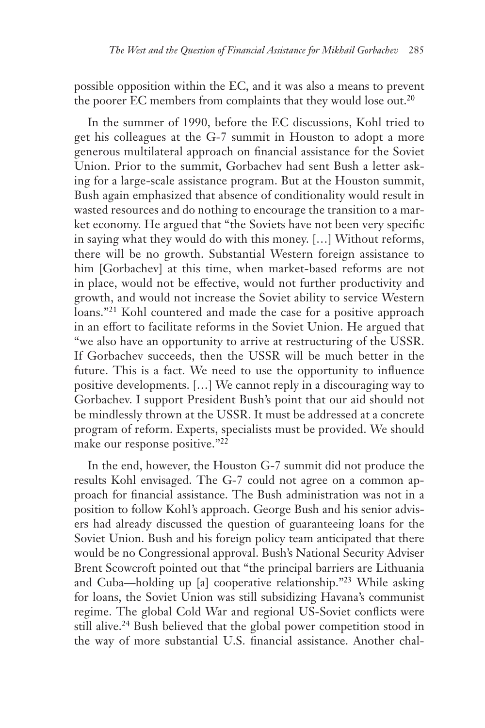possible opposition within the EC, and it was also a means to prevent the poorer EC members from complaints that they would lose out.<sup>20</sup>

In the summer of 1990, before the EC discussions, Kohl tried to get his colleagues at the G-7 summit in Houston to adopt a more generous multilateral approach on financial assistance for the Soviet Union. Prior to the summit, Gorbachev had sent Bush a letter asking for a large-scale assistance program. But at the Houston summit, Bush again emphasized that absence of conditionality would result in wasted resources and do nothing to encourage the transition to a market economy. He argued that "the Soviets have not been very specific in saying what they would do with this money. […] Without reforms, there will be no growth. Substantial Western foreign assistance to him [Gorbachev] at this time, when market-based reforms are not in place, would not be effective, would not further productivity and growth, and would not increase the Soviet ability to service Western loans."21 Kohl countered and made the case for a positive approach in an effort to facilitate reforms in the Soviet Union. He argued that "we also have an opportunity to arrive at restructuring of the USSR. If Gorbachev succeeds, then the USSR will be much better in the future. This is a fact. We need to use the opportunity to influence positive developments. […] We cannot reply in a discouraging way to Gorbachev. I support President Bush's point that our aid should not be mindlessly thrown at the USSR. It must be addressed at a concrete program of reform. Experts, specialists must be provided. We should make our response positive."22

In the end, however, the Houston G-7 summit did not produce the results Kohl envisaged. The G-7 could not agree on a common approach for financial assistance. The Bush administration was not in a position to follow Kohl's approach. George Bush and his senior advisers had already discussed the question of guaranteeing loans for the Soviet Union. Bush and his foreign policy team anticipated that there would be no Congressional approval. Bush's National Security Adviser Brent Scowcroft pointed out that "the principal barriers are Lithuania and Cuba—holding up [a] cooperative relationship."23 While asking for loans, the Soviet Union was still subsidizing Havana's communist regime. The global Cold War and regional US-Soviet conflicts were still alive.<sup>24</sup> Bush believed that the global power competition stood in the way of more substantial U.S. financial assistance. Another chal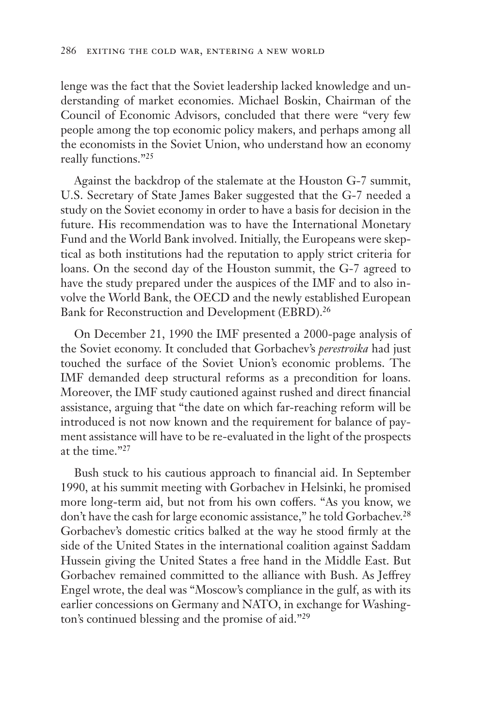lenge was the fact that the Soviet leadership lacked knowledge and understanding of market economies. Michael Boskin, Chairman of the Council of Economic Advisors, concluded that there were "very few people among the top economic policy makers, and perhaps among all the economists in the Soviet Union, who understand how an economy really functions."25

Against the backdrop of the stalemate at the Houston G-7 summit, U.S. Secretary of State James Baker suggested that the G-7 needed a study on the Soviet economy in order to have a basis for decision in the future. His recommendation was to have the International Monetary Fund and the World Bank involved. Initially, the Europeans were skeptical as both institutions had the reputation to apply strict criteria for loans. On the second day of the Houston summit, the G-7 agreed to have the study prepared under the auspices of the IMF and to also involve the World Bank, the OECD and the newly established European Bank for Reconstruction and Development (EBRD).<sup>26</sup>

On December 21, 1990 the IMF presented a 2000-page analysis of the Soviet economy. It concluded that Gorbachev's *perestroika* had just touched the surface of the Soviet Union's economic problems. The IMF demanded deep structural reforms as a precondition for loans. Moreover, the IMF study cautioned against rushed and direct financial assistance, arguing that "the date on which far-reaching reform will be introduced is not now known and the requirement for balance of payment assistance will have to be re-evaluated in the light of the prospects at the time."27

Bush stuck to his cautious approach to financial aid. In September 1990, at his summit meeting with Gorbachev in Helsinki, he promised more long-term aid, but not from his own coffers. "As you know, we don't have the cash for large economic assistance," he told Gorbachev.<sup>28</sup> Gorbachev's domestic critics balked at the way he stood firmly at the side of the United States in the international coalition against Saddam Hussein giving the United States a free hand in the Middle East. But Gorbachev remained committed to the alliance with Bush. As Jeffrey Engel wrote, the deal was "Moscow's compliance in the gulf, as with its earlier concessions on Germany and NATO, in exchange for Washington's continued blessing and the promise of aid."29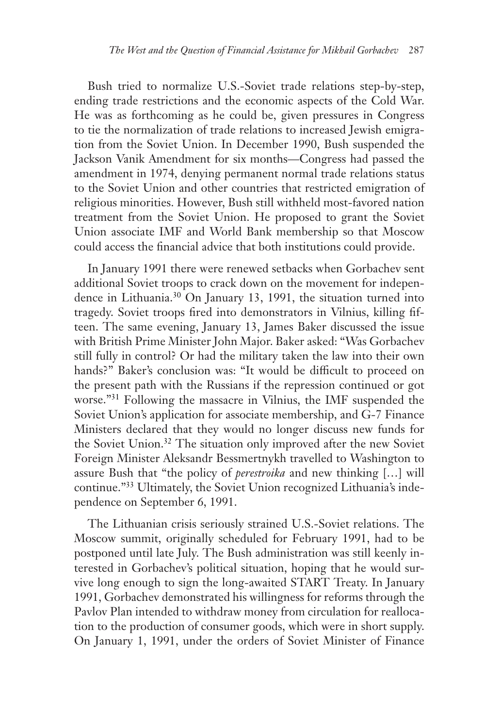Bush tried to normalize U.S.-Soviet trade relations step-by-step, ending trade restrictions and the economic aspects of the Cold War. He was as forthcoming as he could be, given pressures in Congress to tie the normalization of trade relations to increased Jewish emigration from the Soviet Union. In December 1990, Bush suspended the Jackson Vanik Amendment for six months—Congress had passed the amendment in 1974, denying permanent normal trade relations status to the Soviet Union and other countries that restricted emigration of religious minorities. However, Bush still withheld most-favored nation treatment from the Soviet Union. He proposed to grant the Soviet Union associate IMF and World Bank membership so that Moscow could access the financial advice that both institutions could provide.

In January 1991 there were renewed setbacks when Gorbachev sent additional Soviet troops to crack down on the movement for independence in Lithuania.<sup>30</sup> On January 13, 1991, the situation turned into tragedy. Soviet troops fired into demonstrators in Vilnius, killing fifteen. The same evening, January 13, James Baker discussed the issue with British Prime Minister John Major. Baker asked: "Was Gorbachev still fully in control? Or had the military taken the law into their own hands?" Baker's conclusion was: "It would be difficult to proceed on the present path with the Russians if the repression continued or got worse."31 Following the massacre in Vilnius, the IMF suspended the Soviet Union's application for associate membership, and G-7 Finance Ministers declared that they would no longer discuss new funds for the Soviet Union.<sup>32</sup> The situation only improved after the new Soviet Foreign Minister Aleksandr Bessmertnykh travelled to Washington to assure Bush that "the policy of *perestroika* and new thinking […] will continue."33 Ultimately, the Soviet Union recognized Lithuania's independence on September 6, 1991.

The Lithuanian crisis seriously strained U.S.-Soviet relations. The Moscow summit, originally scheduled for February 1991, had to be postponed until late July. The Bush administration was still keenly interested in Gorbachev's political situation, hoping that he would survive long enough to sign the long-awaited START Treaty. In January 1991, Gorbachev demonstrated his willingness for reforms through the Pavlov Plan intended to withdraw money from circulation for reallocation to the production of consumer goods, which were in short supply. On January 1, 1991, under the orders of Soviet Minister of Finance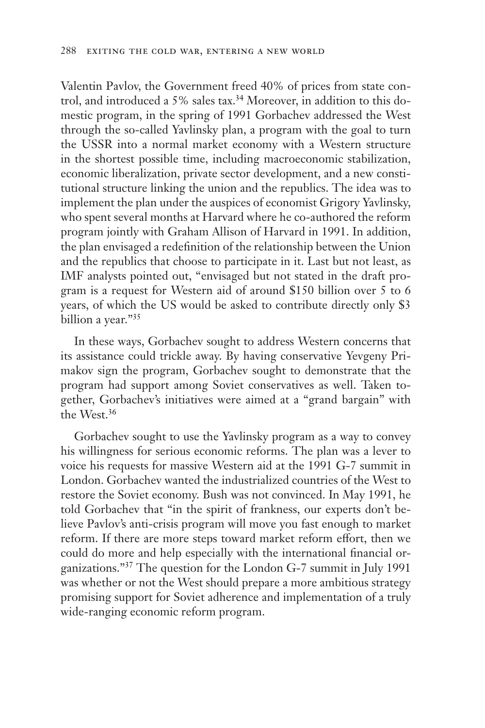Valentin Pavlov, the Government freed 40% of prices from state control, and introduced a 5% sales tax.<sup>34</sup> Moreover, in addition to this domestic program, in the spring of 1991 Gorbachev addressed the West through the so-called Yavlinsky plan, a program with the goal to turn the USSR into a normal market economy with a Western structure in the shortest possible time, including macroeconomic stabilization, economic liberalization, private sector development, and a new constitutional structure linking the union and the republics. The idea was to implement the plan under the auspices of economist Grigory Yavlinsky, who spent several months at Harvard where he co-authored the reform program jointly with Graham Allison of Harvard in 1991. In addition, the plan envisaged a redefinition of the relationship between the Union and the republics that choose to participate in it. Last but not least, as IMF analysts pointed out, "envisaged but not stated in the draft program is a request for Western aid of around \$150 billion over 5 to 6 years, of which the US would be asked to contribute directly only \$3 billion a year."35

In these ways, Gorbachev sought to address Western concerns that its assistance could trickle away. By having conservative Yevgeny Primakov sign the program, Gorbachev sought to demonstrate that the program had support among Soviet conservatives as well. Taken together, Gorbachev's initiatives were aimed at a "grand bargain" with the West.36

Gorbachev sought to use the Yavlinsky program as a way to convey his willingness for serious economic reforms. The plan was a lever to voice his requests for massive Western aid at the 1991 G-7 summit in London. Gorbachev wanted the industrialized countries of the West to restore the Soviet economy. Bush was not convinced. In May 1991, he told Gorbachev that "in the spirit of frankness, our experts don't believe Pavlov's anti-crisis program will move you fast enough to market reform. If there are more steps toward market reform effort, then we could do more and help especially with the international financial organizations."37 The question for the London G-7 summit in July 1991 was whether or not the West should prepare a more ambitious strategy promising support for Soviet adherence and implementation of a truly wide-ranging economic reform program.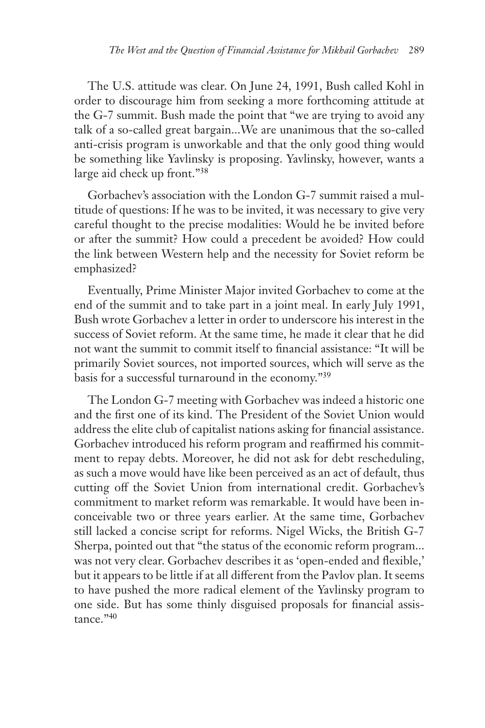The U.S. attitude was clear. On June 24, 1991, Bush called Kohl in order to discourage him from seeking a more forthcoming attitude at the G-7 summit. Bush made the point that "we are trying to avoid any talk of a so-called great bargain...We are unanimous that the so-called anti-crisis program is unworkable and that the only good thing would be something like Yavlinsky is proposing. Yavlinsky, however, wants a large aid check up front."38

Gorbachev's association with the London G-7 summit raised a multitude of questions: If he was to be invited, it was necessary to give very careful thought to the precise modalities: Would he be invited before or after the summit? How could a precedent be avoided? How could the link between Western help and the necessity for Soviet reform be emphasized?

Eventually, Prime Minister Major invited Gorbachev to come at the end of the summit and to take part in a joint meal. In early July 1991, Bush wrote Gorbachev a letter in order to underscore his interest in the success of Soviet reform. At the same time, he made it clear that he did not want the summit to commit itself to financial assistance: "It will be primarily Soviet sources, not imported sources, which will serve as the basis for a successful turnaround in the economy."39

The London G-7 meeting with Gorbachev was indeed a historic one and the first one of its kind. The President of the Soviet Union would address the elite club of capitalist nations asking for financial assistance. Gorbachev introduced his reform program and reaffirmed his commitment to repay debts. Moreover, he did not ask for debt rescheduling, as such a move would have like been perceived as an act of default, thus cutting off the Soviet Union from international credit. Gorbachev's commitment to market reform was remarkable. It would have been inconceivable two or three years earlier. At the same time, Gorbachev still lacked a concise script for reforms. Nigel Wicks, the British G-7 Sherpa, pointed out that "the status of the economic reform program... was not very clear. Gorbachev describes it as 'open-ended and flexible,' but it appears to be little if at all different from the Pavlov plan. It seems to have pushed the more radical element of the Yavlinsky program to one side. But has some thinly disguised proposals for financial assistance."40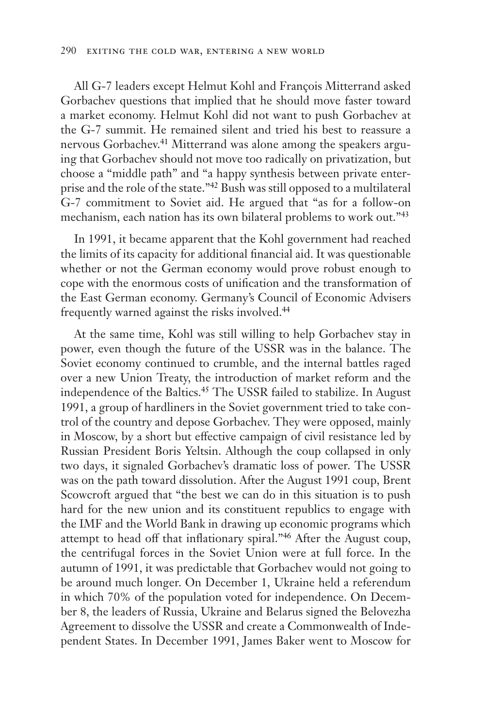All G-7 leaders except Helmut Kohl and François Mitterrand asked Gorbachev questions that implied that he should move faster toward a market economy. Helmut Kohl did not want to push Gorbachev at the G-7 summit. He remained silent and tried his best to reassure a nervous Gorbachev.41 Mitterrand was alone among the speakers arguing that Gorbachev should not move too radically on privatization, but choose a "middle path" and "a happy synthesis between private enterprise and the role of the state."42 Bush was still opposed to a multilateral G-7 commitment to Soviet aid. He argued that "as for a follow-on mechanism, each nation has its own bilateral problems to work out."43

In 1991, it became apparent that the Kohl government had reached the limits of its capacity for additional financial aid. It was questionable whether or not the German economy would prove robust enough to cope with the enormous costs of unification and the transformation of the East German economy. Germany's Council of Economic Advisers frequently warned against the risks involved.44

At the same time, Kohl was still willing to help Gorbachev stay in power, even though the future of the USSR was in the balance. The Soviet economy continued to crumble, and the internal battles raged over a new Union Treaty, the introduction of market reform and the independence of the Baltics.45 The USSR failed to stabilize. In August 1991, a group of hardliners in the Soviet government tried to take control of the country and depose Gorbachev. They were opposed, mainly in Moscow, by a short but effective campaign of civil resistance led by Russian President Boris Yeltsin. Although the coup collapsed in only two days, it signaled Gorbachev's dramatic loss of power. The USSR was on the path toward dissolution. After the August 1991 coup, Brent Scowcroft argued that "the best we can do in this situation is to push hard for the new union and its constituent republics to engage with the IMF and the World Bank in drawing up economic programs which attempt to head off that inflationary spiral."46 After the August coup, the centrifugal forces in the Soviet Union were at full force. In the autumn of 1991, it was predictable that Gorbachev would not going to be around much longer. On December 1, Ukraine held a referendum in which 70% of the population voted for independence. On December 8, the leaders of Russia, Ukraine and Belarus signed the Belovezha Agreement to dissolve the USSR and create a Commonwealth of Independent States. In December 1991, James Baker went to Moscow for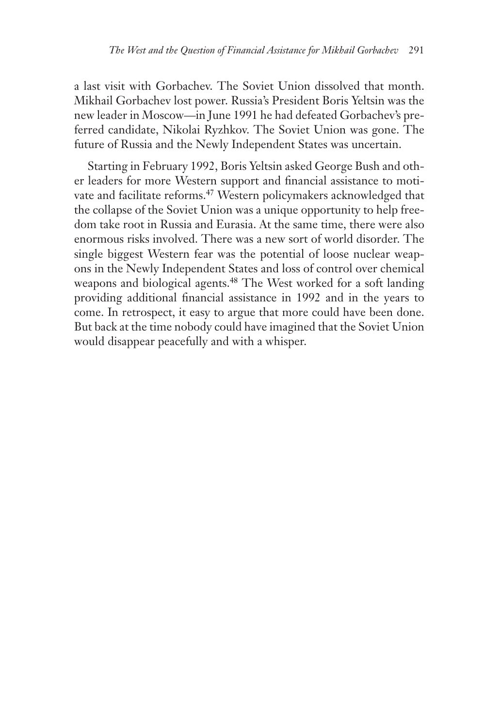a last visit with Gorbachev. The Soviet Union dissolved that month. Mikhail Gorbachev lost power. Russia's President Boris Yeltsin was the new leader in Moscow—in June 1991 he had defeated Gorbachev's preferred candidate, Nikolai Ryzhkov. The Soviet Union was gone. The future of Russia and the Newly Independent States was uncertain.

Starting in February 1992, Boris Yeltsin asked George Bush and other leaders for more Western support and financial assistance to motivate and facilitate reforms.<sup>47</sup> Western policymakers acknowledged that the collapse of the Soviet Union was a unique opportunity to help freedom take root in Russia and Eurasia. At the same time, there were also enormous risks involved. There was a new sort of world disorder. The single biggest Western fear was the potential of loose nuclear weapons in the Newly Independent States and loss of control over chemical weapons and biological agents.<sup>48</sup> The West worked for a soft landing providing additional financial assistance in 1992 and in the years to come. In retrospect, it easy to argue that more could have been done. But back at the time nobody could have imagined that the Soviet Union would disappear peacefully and with a whisper.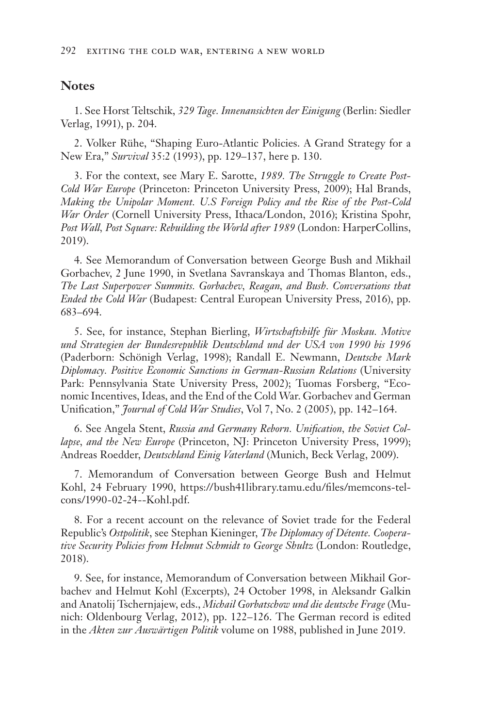## **Notes**

1. See Horst Teltschik, *329 Tage. Innenansichten der Einigung* (Berlin: Siedler Verlag, 1991), p. 204.

2. Volker Rühe, "Shaping Euro-Atlantic Policies. A Grand Strategy for a New Era," *Survival* 35:2 (1993), pp. 129–137, here p. 130.

3. For the context, see Mary E. Sarotte, *1989. The Struggle to Create Post-Cold War Europe* (Princeton: Princeton University Press, 2009); Hal Brands, *Making the Unipolar Moment. U.S Foreign Policy and the Rise of the Post-Cold War Order* (Cornell University Press, Ithaca/London, 2016); Kristina Spohr, *Post Wall, Post Square: Rebuilding the World after 1989* (London: HarperCollins, 2019).

4. See Memorandum of Conversation between George Bush and Mikhail Gorbachev, 2 June 1990, in Svetlana Savranskaya and Thomas Blanton, eds., *The Last Superpower Summits. Gorbachev, Reagan, and Bush. Conversations that Ended the Cold War* (Budapest: Central European University Press, 2016), pp. 683–694.

5. See, for instance, Stephan Bierling, *Wirtschaftshilfe für Moskau. Motive und Strategien der Bundesrepublik Deutschland und der USA von 1990 bis 1996* (Paderborn: Schönigh Verlag, 1998); Randall E. Newmann, *Deutsche Mark Diplomacy. Positive Economic Sanctions in German-Russian Relations* (University Park: Pennsylvania State University Press, 2002); Tuomas Forsberg, "Economic Incentives, Ideas, and the End of the Cold War. Gorbachev and German Unification," *Journal of Cold War Studies*, Vol 7, No. 2 (2005), pp. 142–164.

6. See Angela Stent, *Russia and Germany Reborn. Unification, the Soviet Collapse, and the New Europe* (Princeton, NJ: Princeton University Press, 1999); Andreas Roedder, *Deutschland Einig Vaterland* (Munich, Beck Verlag, 2009).

7. Memorandum of Conversation between George Bush and Helmut Kohl, 24 February 1990, https://bush41library.tamu.edu/files/memcons-telcons/1990-02-24--Kohl.pdf.

8. For a recent account on the relevance of Soviet trade for the Federal Republic's *Ostpolitik*, see Stephan Kieninger, *The Diplomacy of Détente. Cooperative Security Policies from Helmut Schmidt to George Shultz* (London: Routledge, 2018).

9. See, for instance, Memorandum of Conversation between Mikhail Gorbachev and Helmut Kohl (Excerpts), 24 October 1998, in Aleksandr Galkin and Anatolij Tschernjajew, eds., *Michail Gorbatschow und die deutsche Frage* (Munich: Oldenbourg Verlag, 2012), pp. 122–126. The German record is edited in the *Akten zur Auswärtigen Politik* volume on 1988, published in June 2019.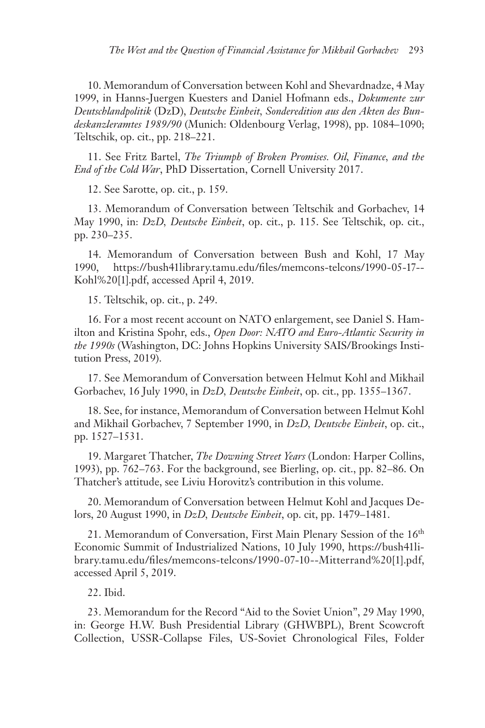10. Memorandum of Conversation between Kohl and Shevardnadze, 4 May 1999, in Hanns-Juergen Kuesters and Daniel Hofmann eds., *Dokumente zur Deutschlandpolitik* (DzD), *Deutsche Einheit, Sonderedition aus den Akten des Bundeskanzleramtes 1989/90* (Munich: Oldenbourg Verlag, 1998), pp. 1084–1090; Teltschik, op. cit., pp. 218–221.

11. See Fritz Bartel, *The Triumph of Broken Promises. Oil, Finance, and the End of the Cold War*, PhD Dissertation, Cornell University 2017.

12. See Sarotte, op. cit., p. 159.

13. Memorandum of Conversation between Teltschik and Gorbachev, 14 May 1990, in: *DzD, Deutsche Einheit*, op. cit., p. 115. See Teltschik, op. cit., pp. 230–235.

14. Memorandum of Conversation between Bush and Kohl, 17 May 1990, https://bush41library.tamu.edu/files/memcons-telcons/1990-05-17-- Kohl%20[1].pdf, accessed April 4, 2019.

15. Teltschik, op. cit., p. 249.

16. For a most recent account on NATO enlargement, see Daniel S. Hamilton and Kristina Spohr, eds., *Open Door: NATO and Euro-Atlantic Security in the 1990s* (Washington, DC: Johns Hopkins University SAIS/Brookings Institution Press, 2019).

17. See Memorandum of Conversation between Helmut Kohl and Mikhail Gorbachev, 16 July 1990, in *DzD, Deutsche Einheit*, op. cit., pp. 1355–1367.

18. See, for instance, Memorandum of Conversation between Helmut Kohl and Mikhail Gorbachev, 7 September 1990, in *DzD, Deutsche Einheit*, op. cit., pp. 1527–1531.

19. Margaret Thatcher, *The Downing Street Years* (London: Harper Collins, 1993), pp. 762–763. For the background, see Bierling, op. cit., pp. 82–86. On Thatcher's attitude, see Liviu Horovitz's contribution in this volume.

20. Memorandum of Conversation between Helmut Kohl and Jacques Delors, 20 August 1990, in *DzD, Deutsche Einheit*, op. cit, pp. 1479–1481.

21. Memorandum of Conversation, First Main Plenary Session of the  $16<sup>th</sup>$ Economic Summit of Industrialized Nations, 10 July 1990, https://bush41library.tamu.edu/files/memcons-telcons/1990-07-10--Mitterrand%20[1].pdf, accessed April 5, 2019.

22. Ibid.

23. Memorandum for the Record "Aid to the Soviet Union", 29 May 1990, in: George H.W. Bush Presidential Library (GHWBPL), Brent Scowcroft Collection, USSR-Collapse Files, US-Soviet Chronological Files, Folder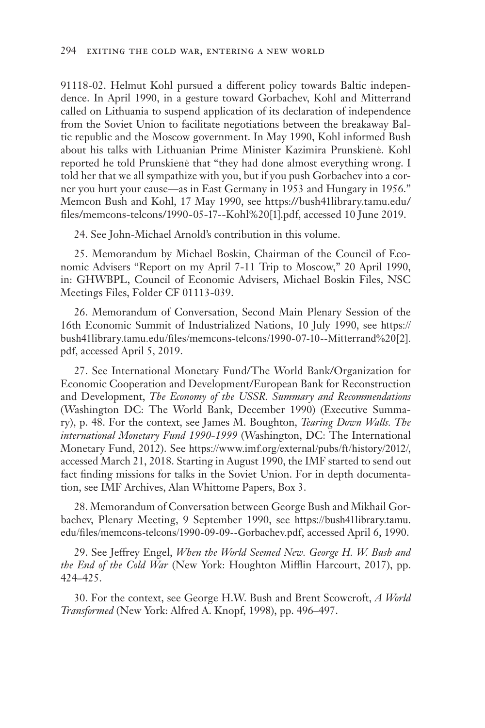91118-02. Helmut Kohl pursued a different policy towards Baltic independence. In April 1990, in a gesture toward Gorbachev, Kohl and Mitterrand called on Lithuania to suspend application of its declaration of independence from the Soviet Union to facilitate negotiations between the breakaway Baltic republic and the Moscow government. In May 1990, Kohl informed Bush about his talks with Lithuanian Prime Minister Kazimira Prunskienė. Kohl reported he told Prunskienė that "they had done almost everything wrong. I told her that we all sympathize with you, but if you push Gorbachev into a corner you hurt your cause—as in East Germany in 1953 and Hungary in 1956." Memcon Bush and Kohl, 17 May 1990, see https://bush41library.tamu.edu/ files/memcons-telcons/1990-05-17--Kohl%20[1].pdf, accessed 10 June 2019.

24. See John-Michael Arnold's contribution in this volume.

25. Memorandum by Michael Boskin, Chairman of the Council of Economic Advisers "Report on my April 7-11 Trip to Moscow," 20 April 1990, in: GHWBPL, Council of Economic Advisers, Michael Boskin Files, NSC Meetings Files, Folder CF 01113-039.

26. Memorandum of Conversation, Second Main Plenary Session of the 16th Economic Summit of Industrialized Nations, 10 July 1990, see https:// bush41library.tamu.edu/files/memcons-telcons/1990-07-10--Mitterrand%20[2]. pdf, accessed April 5, 2019.

27. See International Monetary Fund/The World Bank/Organization for Economic Cooperation and Development/European Bank for Reconstruction and Development, *The Economy of the USSR. Summary and Recommendations* (Washington DC: The World Bank, December 1990) (Executive Summary), p. 48. For the context, see James M. Boughton, *Tearing Down Walls. The international Monetary Fund 1990-1999* (Washington, DC: The International Monetary Fund, 2012). See https://www.imf.org/external/pubs/ft/history/2012/, accessed March 21, 2018. Starting in August 1990, the IMF started to send out fact finding missions for talks in the Soviet Union. For in depth documentation, see IMF Archives, Alan Whittome Papers, Box 3.

28. Memorandum of Conversation between George Bush and Mikhail Gorbachev, Plenary Meeting, 9 September 1990, see https://bush41library.tamu. edu/files/memcons-telcons/1990-09-09--Gorbachev.pdf, accessed April 6, 1990.

29. See Jeffrey Engel, *When the World Seemed New. George H. W. Bush and the End of the Cold War* (New York: Houghton Mifflin Harcourt, 2017), pp. 424–425.

30. For the context, see George H.W. Bush and Brent Scowcroft, *A World Transformed* (New York: Alfred A. Knopf, 1998), pp. 496–497.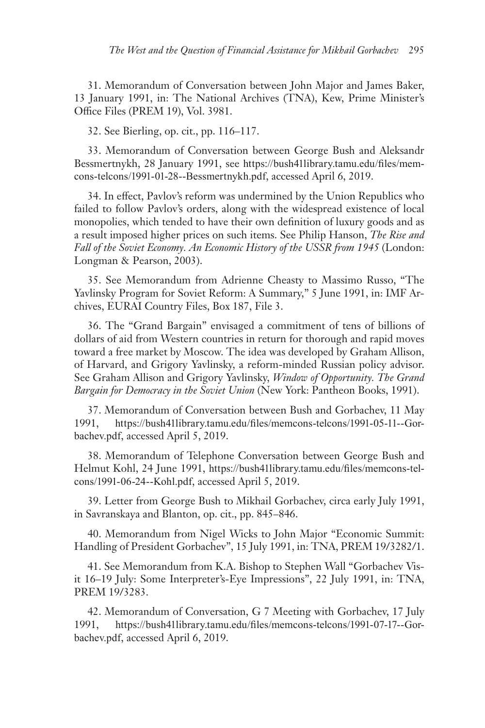31. Memorandum of Conversation between John Major and James Baker, 13 January 1991, in: The National Archives (TNA), Kew, Prime Minister's Office Files (PREM 19), Vol. 3981.

32. See Bierling, op. cit., pp. 116–117.

33. Memorandum of Conversation between George Bush and Aleksandr Bessmertnykh, 28 January 1991, see https://bush41library.tamu.edu/files/memcons-telcons/1991-01-28--Bessmertnykh.pdf, accessed April 6, 2019.

34. In effect, Pavlov's reform was undermined by the Union Republics who failed to follow Pavlov's orders, along with the widespread existence of local monopolies, which tended to have their own definition of luxury goods and as a result imposed higher prices on such items. See Philip Hanson, *The Rise and Fall of the Soviet Economy. An Economic History of the USSR from 1945* (London: Longman & Pearson, 2003).

35. See Memorandum from Adrienne Cheasty to Massimo Russo, "The Yavlinsky Program for Soviet Reform: A Summary," 5 June 1991, in: IMF Archives, EURAI Country Files, Box 187, File 3.

36. The "Grand Bargain" envisaged a commitment of tens of billions of dollars of aid from Western countries in return for thorough and rapid moves toward a free market by Moscow. The idea was developed by Graham Allison, of Harvard, and Grigory Yavlinsky, a reform-minded Russian policy advisor. See Graham Allison and Grigory Yavlinsky, *Window of Opportunity. The Grand Bargain for Democracy in the Soviet Union* (New York: Pantheon Books, 1991).

37. Memorandum of Conversation between Bush and Gorbachev, 11 May 1991, https://bush41library.tamu.edu/files/memcons-telcons/1991-05-11--Gorbachev.pdf, accessed April 5, 2019.

38. Memorandum of Telephone Conversation between George Bush and Helmut Kohl, 24 June 1991, https://bush41library.tamu.edu/files/memcons-telcons/1991-06-24--Kohl.pdf, accessed April 5, 2019.

39. Letter from George Bush to Mikhail Gorbachev, circa early July 1991, in Savranskaya and Blanton, op. cit., pp. 845–846.

40. Memorandum from Nigel Wicks to John Major "Economic Summit: Handling of President Gorbachev", 15 July 1991, in: TNA, PREM 19/3282/1.

41. See Memorandum from K.A. Bishop to Stephen Wall "Gorbachev Visit 16–19 July: Some Interpreter's-Eye Impressions", 22 July 1991, in: TNA, PREM 19/3283.

42. Memorandum of Conversation, G 7 Meeting with Gorbachev, 17 July 1991, https://bush41library.tamu.edu/files/memcons-telcons/1991-07-17--Gorbachev.pdf, accessed April 6, 2019.